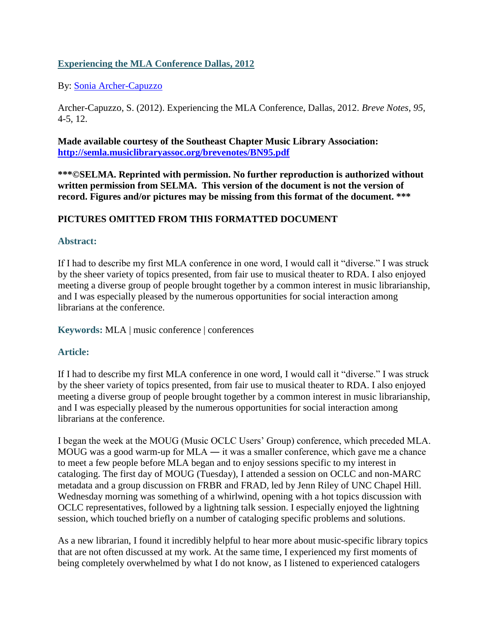## **Experiencing the MLA Conference Dallas, 2012**

By: [Sonia Archer-Capuzzo](https://libres.uncg.edu/ir/uncg/clist.aspx?id=1737)

Archer-Capuzzo, S. (2012). Experiencing the MLA Conference, Dallas, 2012. *Breve Notes, 95*, 4-5, 12.

**Made available courtesy of the Southeast Chapter Music Library Association: <http://semla.musiclibraryassoc.org/brevenotes/BN95.pdf>**

**\*\*\*©SELMA. Reprinted with permission. No further reproduction is authorized without written permission from SELMA. This version of the document is not the version of record. Figures and/or pictures may be missing from this format of the document. \*\*\***

## **PICTURES OMITTED FROM THIS FORMATTED DOCUMENT**

## **Abstract:**

If I had to describe my first MLA conference in one word, I would call it "diverse." I was struck by the sheer variety of topics presented, from fair use to musical theater to RDA. I also enjoyed meeting a diverse group of people brought together by a common interest in music librarianship, and I was especially pleased by the numerous opportunities for social interaction among librarians at the conference.

**Keywords:** MLA | music conference | conferences

## **Article:**

If I had to describe my first MLA conference in one word, I would call it "diverse." I was struck by the sheer variety of topics presented, from fair use to musical theater to RDA. I also enjoyed meeting a diverse group of people brought together by a common interest in music librarianship, and I was especially pleased by the numerous opportunities for social interaction among librarians at the conference.

I began the week at the MOUG (Music OCLC Users' Group) conference, which preceded MLA. MOUG was a good warm-up for MLA ― it was a smaller conference, which gave me a chance to meet a few people before MLA began and to enjoy sessions specific to my interest in cataloging. The first day of MOUG (Tuesday), I attended a session on OCLC and non-MARC metadata and a group discussion on FRBR and FRAD, led by Jenn Riley of UNC Chapel Hill. Wednesday morning was something of a whirlwind, opening with a hot topics discussion with OCLC representatives, followed by a lightning talk session. I especially enjoyed the lightning session, which touched briefly on a number of cataloging specific problems and solutions.

As a new librarian, I found it incredibly helpful to hear more about music-specific library topics that are not often discussed at my work. At the same time, I experienced my first moments of being completely overwhelmed by what I do not know, as I listened to experienced catalogers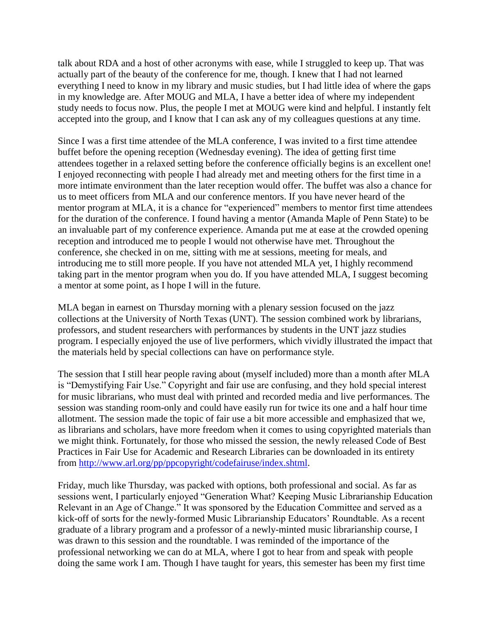talk about RDA and a host of other acronyms with ease, while I struggled to keep up. That was actually part of the beauty of the conference for me, though. I knew that I had not learned everything I need to know in my library and music studies, but I had little idea of where the gaps in my knowledge are. After MOUG and MLA, I have a better idea of where my independent study needs to focus now. Plus, the people I met at MOUG were kind and helpful. I instantly felt accepted into the group, and I know that I can ask any of my colleagues questions at any time.

Since I was a first time attendee of the MLA conference, I was invited to a first time attendee buffet before the opening reception (Wednesday evening). The idea of getting first time attendees together in a relaxed setting before the conference officially begins is an excellent one! I enjoyed reconnecting with people I had already met and meeting others for the first time in a more intimate environment than the later reception would offer. The buffet was also a chance for us to meet officers from MLA and our conference mentors. If you have never heard of the mentor program at MLA, it is a chance for "experienced" members to mentor first time attendees for the duration of the conference. I found having a mentor (Amanda Maple of Penn State) to be an invaluable part of my conference experience. Amanda put me at ease at the crowded opening reception and introduced me to people I would not otherwise have met. Throughout the conference, she checked in on me, sitting with me at sessions, meeting for meals, and introducing me to still more people. If you have not attended MLA yet, I highly recommend taking part in the mentor program when you do. If you have attended MLA, I suggest becoming a mentor at some point, as I hope I will in the future.

MLA began in earnest on Thursday morning with a plenary session focused on the jazz collections at the University of North Texas (UNT). The session combined work by librarians, professors, and student researchers with performances by students in the UNT jazz studies program. I especially enjoyed the use of live performers, which vividly illustrated the impact that the materials held by special collections can have on performance style.

The session that I still hear people raving about (myself included) more than a month after MLA is "Demystifying Fair Use." Copyright and fair use are confusing, and they hold special interest for music librarians, who must deal with printed and recorded media and live performances. The session was standing room-only and could have easily run for twice its one and a half hour time allotment. The session made the topic of fair use a bit more accessible and emphasized that we, as librarians and scholars, have more freedom when it comes to using copyrighted materials than we might think. Fortunately, for those who missed the session, the newly released Code of Best Practices in Fair Use for Academic and Research Libraries can be downloaded in its entirety from [http://www.arl.org/pp/ppcopyright/codefairuse/index.shtml.](http://www.arl.org/pp/ppcopyright/codefairuse/index.shtml)

Friday, much like Thursday, was packed with options, both professional and social. As far as sessions went, I particularly enjoyed "Generation What? Keeping Music Librarianship Education Relevant in an Age of Change." It was sponsored by the Education Committee and served as a kick-off of sorts for the newly-formed Music Librarianship Educators' Roundtable. As a recent graduate of a library program and a professor of a newly-minted music librarianship course, I was drawn to this session and the roundtable. I was reminded of the importance of the professional networking we can do at MLA, where I got to hear from and speak with people doing the same work I am. Though I have taught for years, this semester has been my first time